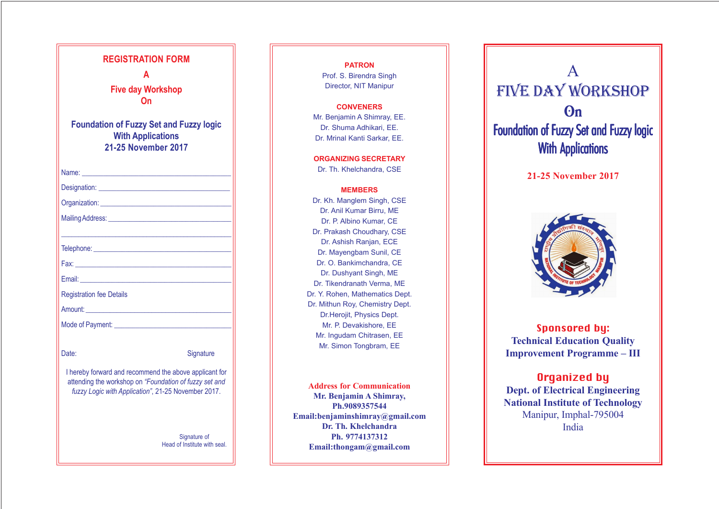**PATRON** Prof. S. Birendra Singh Director, NIT Manipur

#### **CONVENERS**

Mr. Benjamin A Shimray, EE. Dr. Shuma Adhikari, EE. Dr. Mrinal Kanti Sarkar, EE.

**ORGANIZING SECRETARY**

Dr. Th. Khelchandra, CSE

### **MEMBERS**

Dr. Kh. Manglem Singh, CSE Dr. Anil Kumar Birru, ME Dr. P. Albino Kumar, CE Dr. Prakash Choudhary, CSE Dr. Ashish Ranjan, ECE Dr. Mayengbam Sunil, CE Dr. O. Bankimchandra, CE Dr. Dushyant Singh, ME Dr. Tikendranath Verma, ME Dr. Y. Rohen, Mathematics Dept. Dr. Mithun Roy, Chemistry Dept. Dr.Herojit, Physics Dept. Mr. P. Devakishore, EE Mr. Ingudam Chitrasen, EE Mr. Simon Tongbram, EE

| <b>REGISTRATION FORM</b><br>A<br><b>Five day Workshop</b><br>On<br><b>Foundation of Fuzzy Set and Fuzzy logic</b><br><b>With Applications</b><br><b>21-25 November 2017</b>                                                    |
|--------------------------------------------------------------------------------------------------------------------------------------------------------------------------------------------------------------------------------|
|                                                                                                                                                                                                                                |
|                                                                                                                                                                                                                                |
|                                                                                                                                                                                                                                |
|                                                                                                                                                                                                                                |
|                                                                                                                                                                                                                                |
|                                                                                                                                                                                                                                |
|                                                                                                                                                                                                                                |
|                                                                                                                                                                                                                                |
| <b>Registration fee Details</b>                                                                                                                                                                                                |
| Amount: Amount and the state of the state of the state of the state of the state of the state of the state of the state of the state of the state of the state of the state of the state of the state of the state of the stat |
| Mode of Payment:                                                                                                                                                                                                               |
| Date:<br>Signature<br>I hereby forward and recommend the above applicant for<br>attending the workshop on "Foundation of fuzzy set and                                                                                         |
| fuzzy Logic with Application", 21-25 November 2017.<br>Signature of<br>Head of Institute with seal.                                                                                                                            |

**Address for Communication Mr. Benjamin A Shimray, Ph.9089357544 Email:benjaminshimray@gmail.com Dr. Th. Khelchandra Ph. 9774137312 Email:thongam@gmail.com**

# **On** Foundation of Fuzzy Set and Fuzzy logic **With Applications**





**21-25 November 2017**

## Sponsored by: **Technical Education Quality Improvement Programme – III**

## Organized by

**Dept. of Electrical Engineering National Institute of Technology** Manipur, Imphal-795004 India